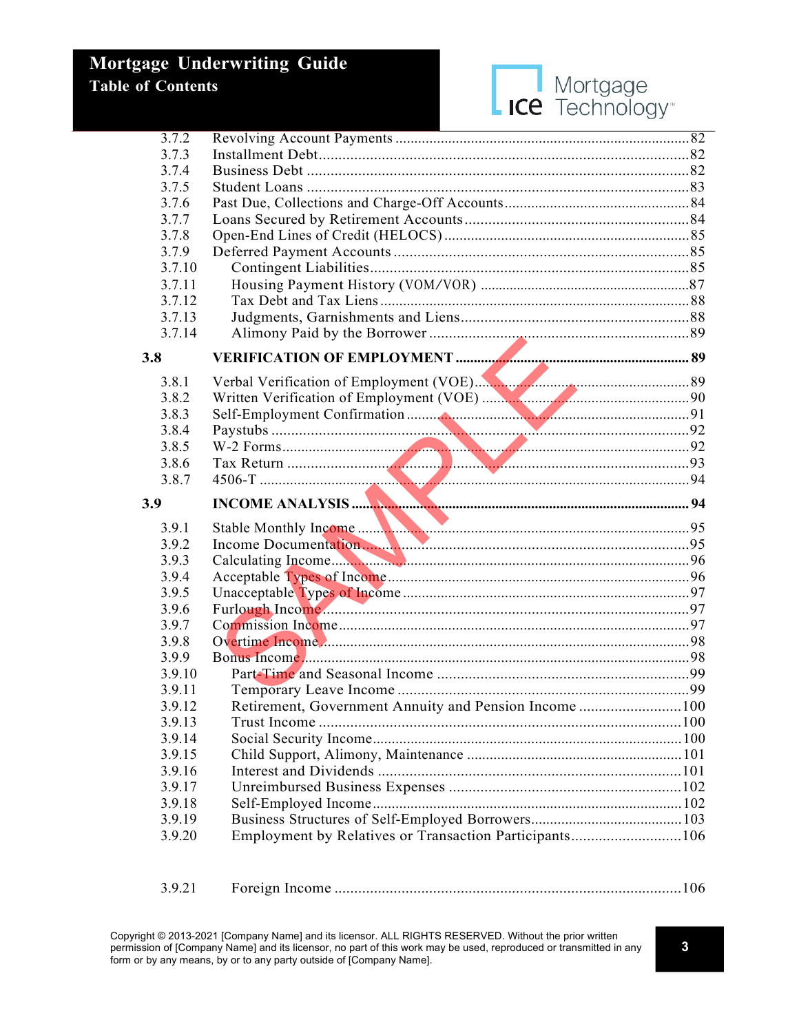

| 3.7.2          |                                                        |  |
|----------------|--------------------------------------------------------|--|
| 3.7.3          |                                                        |  |
| 3.7.4          |                                                        |  |
| 3.7.5          |                                                        |  |
| 3.7.6          |                                                        |  |
| 3.7.7          |                                                        |  |
| 3.7.8          |                                                        |  |
| 3.7.9          |                                                        |  |
| 3.7.10         |                                                        |  |
| 3.7.11         |                                                        |  |
| 3.7.12         |                                                        |  |
| 3.7.13         |                                                        |  |
| 3.7.14         |                                                        |  |
| 3.8            |                                                        |  |
| 3.8.1          | Verbal Verification of Employment (VOE).               |  |
| 3.8.2          |                                                        |  |
| 3.8.3          |                                                        |  |
| 3.8.4          |                                                        |  |
| 3.8.5          |                                                        |  |
| 3.8.6          |                                                        |  |
| 3.8.7          |                                                        |  |
|                |                                                        |  |
| 3.9            |                                                        |  |
|                |                                                        |  |
| 3.9.1          |                                                        |  |
| 3.9.2          |                                                        |  |
| 3.9.3          |                                                        |  |
| 3.9.4          |                                                        |  |
| 3.9.5          |                                                        |  |
| 3.9.6          |                                                        |  |
| 3.9.7<br>3.9.8 |                                                        |  |
| 3.9.9          |                                                        |  |
| 3.9.10         |                                                        |  |
| 3.9.11         |                                                        |  |
| 3.9.12         |                                                        |  |
| 3.9.13         | Retirement, Government Annuity and Pension Income 100  |  |
| 3.9.14         |                                                        |  |
| 3.9.15         |                                                        |  |
| 3.9.16         |                                                        |  |
| 3.9.17         |                                                        |  |
| 3.9.18         |                                                        |  |
| 3.9.19         |                                                        |  |
| 3.9.20         | Employment by Relatives or Transaction Participants106 |  |

| 3.9.21 |  |  |
|--------|--|--|
|--------|--|--|

Copyright @ 2013-2021 [Company Name] and its licensor. ALL RIGHTS RESERVED. Without the prior written permission of [Company Name] and its licensor, no part of this work may be used, reproduced or transmitted in any form or by any means, by or to any party outside of [Company Name].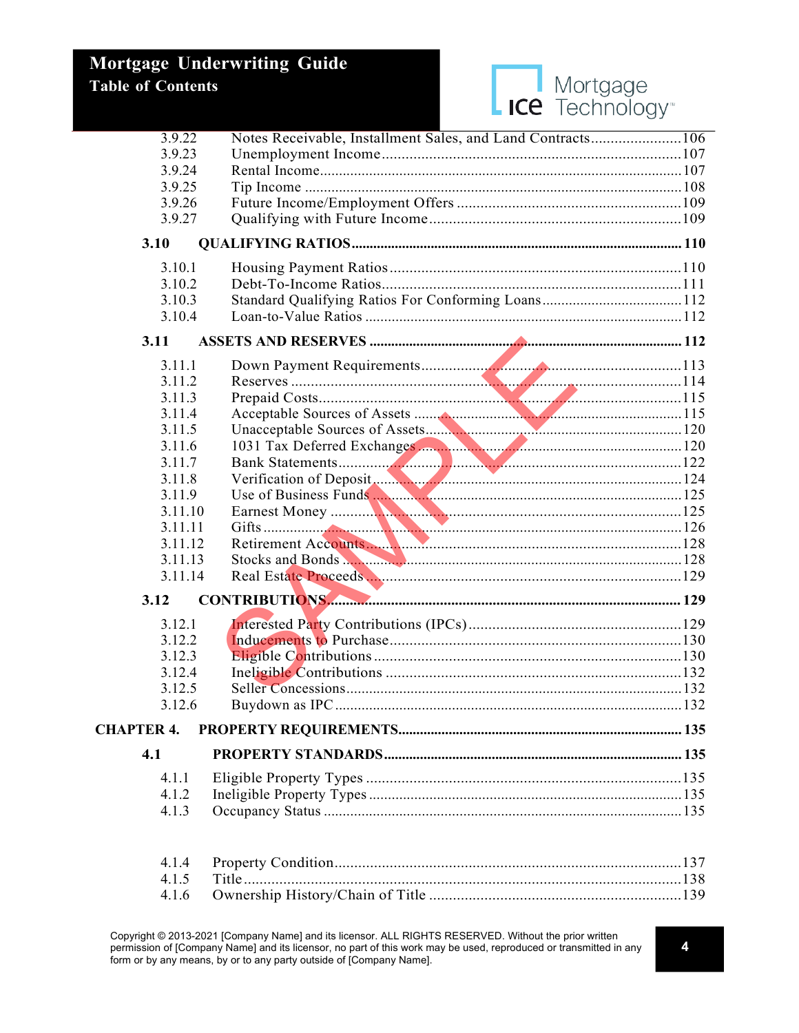| <b>I</b> Mortgage<br>LICE Technology <sup>®</sup> |
|---------------------------------------------------|
|                                                   |

| 3.9.22            | Notes Receivable, Installment Sales, and Land Contracts106 |  |
|-------------------|------------------------------------------------------------|--|
| 3.9.23            |                                                            |  |
| 3.9.24            |                                                            |  |
| 3.9.25            |                                                            |  |
| 3.9.26            |                                                            |  |
| 3.9.27            |                                                            |  |
| 3.10              |                                                            |  |
| 3.10.1            |                                                            |  |
| 3.10.2            |                                                            |  |
| 3.10.3            |                                                            |  |
| 3.10.4            |                                                            |  |
|                   |                                                            |  |
| 3.11              |                                                            |  |
| 3.11.1            |                                                            |  |
| 3.11.2            |                                                            |  |
| 3.11.3            |                                                            |  |
| 3.11.4            |                                                            |  |
| 3.11.5            |                                                            |  |
| 3.11.6            |                                                            |  |
| 3.11.7            |                                                            |  |
| 3.11.8            |                                                            |  |
| 3.11.9            |                                                            |  |
| 3.11.10           |                                                            |  |
| 3.11.11           |                                                            |  |
| 3.11.12           |                                                            |  |
| 3.11.13           | Stocks and Bonds                                           |  |
| 3.11.14           |                                                            |  |
| 3.12              |                                                            |  |
| 3.12.1            |                                                            |  |
| 3.12.2            |                                                            |  |
| 3.12.3            |                                                            |  |
| 3.12.4            |                                                            |  |
| 3.12.5            |                                                            |  |
| 3.12.6            |                                                            |  |
|                   |                                                            |  |
| <b>CHAPTER 4.</b> |                                                            |  |
| 4.1               |                                                            |  |
| 4.1.1             |                                                            |  |
| 4.1.2             |                                                            |  |
| 4.1.3             |                                                            |  |
|                   |                                                            |  |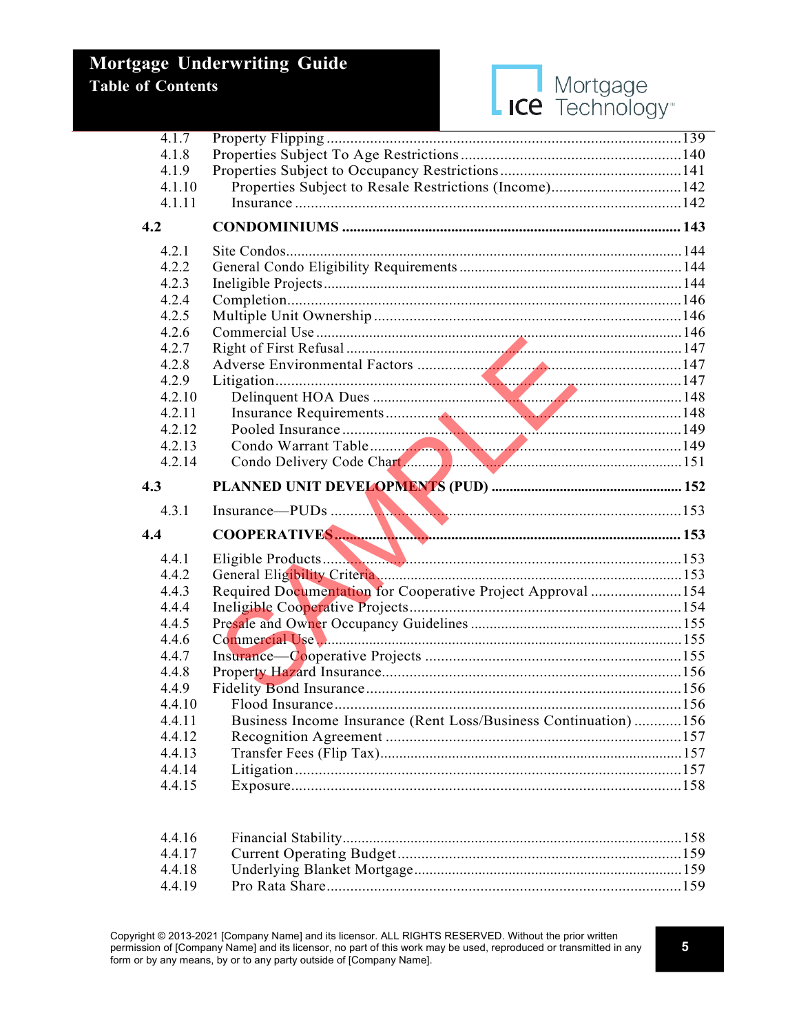

| 4.1.7            | the contract of the contract of the contract of the contract of the contract of |  |
|------------------|---------------------------------------------------------------------------------|--|
| 4.1.8            |                                                                                 |  |
| 4.1.9            |                                                                                 |  |
| 4.1.10           | Properties Subject to Resale Restrictions (Income)142                           |  |
| 4.1.11           |                                                                                 |  |
| 4.2              |                                                                                 |  |
| 4.2.1            |                                                                                 |  |
| 4.2.2            |                                                                                 |  |
| 4.2.3            |                                                                                 |  |
| 4.2.4            |                                                                                 |  |
| 4.2.5            |                                                                                 |  |
| 4.2.6            |                                                                                 |  |
| 4.2.7            |                                                                                 |  |
| 4.2.8            |                                                                                 |  |
| 4.2.9            |                                                                                 |  |
| 4.2.10           |                                                                                 |  |
| 4.2.11           |                                                                                 |  |
| 4.2.12           |                                                                                 |  |
| 4.2.13           |                                                                                 |  |
| 4.2.14           |                                                                                 |  |
|                  |                                                                                 |  |
|                  |                                                                                 |  |
| 4.3              |                                                                                 |  |
| 4.3.1            |                                                                                 |  |
|                  |                                                                                 |  |
| 4.4              |                                                                                 |  |
| 4.4.1<br>4.4.2   |                                                                                 |  |
|                  |                                                                                 |  |
| 4.4.3<br>4.4.4   | Required Documentation for Cooperative Project Approval 154                     |  |
| 4.4.5            |                                                                                 |  |
|                  |                                                                                 |  |
| 4.4.6<br>4.4.7   |                                                                                 |  |
| 4.4.8            |                                                                                 |  |
| 4.4.9            |                                                                                 |  |
| 4.4.10           |                                                                                 |  |
| 4.4.11           |                                                                                 |  |
| 4.4.12           | Business Income Insurance (Rent Loss/Business Continuation)156                  |  |
| 4.4.13           |                                                                                 |  |
|                  |                                                                                 |  |
| 4.4.14<br>4.4.15 |                                                                                 |  |
|                  |                                                                                 |  |

| 4.4.19 |  |
|--------|--|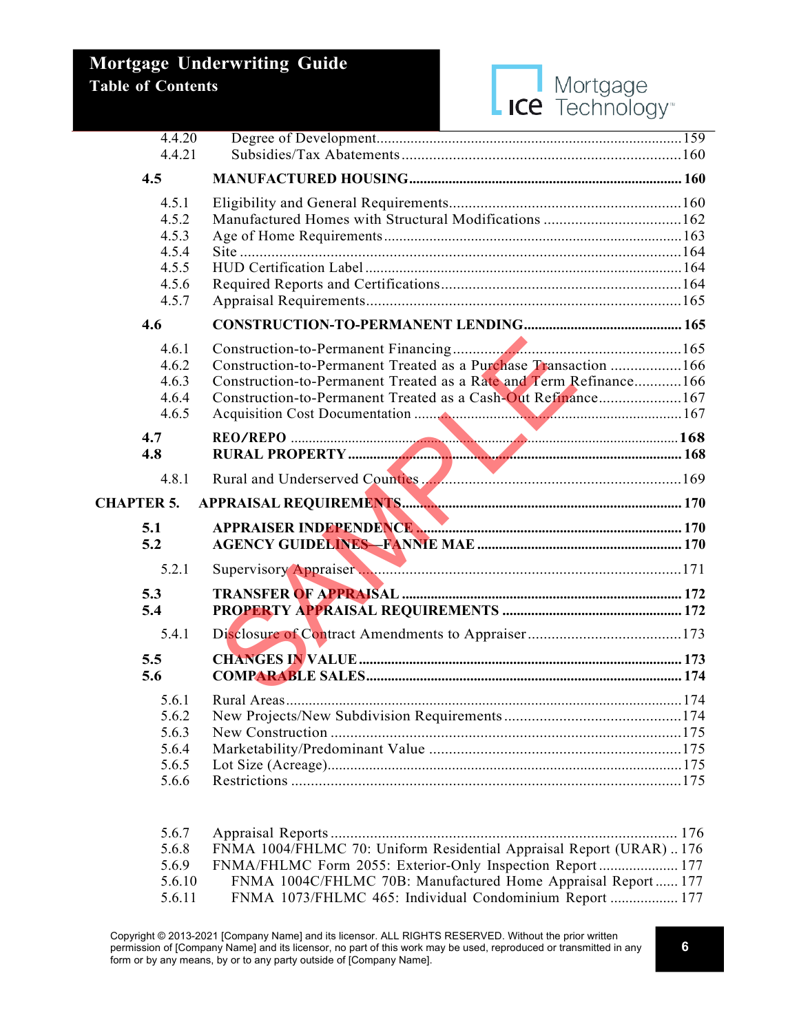

| 4.4.20            |                                                                   |  |
|-------------------|-------------------------------------------------------------------|--|
|                   |                                                                   |  |
| 4.4.21            |                                                                   |  |
| 4.5               |                                                                   |  |
| 4.5.1             |                                                                   |  |
| 4.5.2             | Manufactured Homes with Structural Modifications 162              |  |
| 4.5.3             |                                                                   |  |
| 4.5.4             |                                                                   |  |
| 4.5.5             |                                                                   |  |
| 4.5.6             |                                                                   |  |
| 4.5.7             |                                                                   |  |
| 4.6               |                                                                   |  |
| 4.6.1             |                                                                   |  |
| 4.6.2             | Construction-to-Permanent Treated as a Purchase Transaction 166   |  |
| 4.6.3             | Construction-to-Permanent Treated as a Rate and Term Refinance166 |  |
| 4.6.4             | Construction-to-Permanent Treated as a Cash-Out Refinance167      |  |
| 4.6.5             |                                                                   |  |
| 4.7               |                                                                   |  |
| 4.8               |                                                                   |  |
| 4.8.1             |                                                                   |  |
| <b>CHAPTER 5.</b> |                                                                   |  |
| 5.1               |                                                                   |  |
| 5.2               |                                                                   |  |
| 5.2.1             |                                                                   |  |
|                   |                                                                   |  |
| 5.3               |                                                                   |  |
| 5.4               |                                                                   |  |
| 5.4.1             |                                                                   |  |
| 5.5               |                                                                   |  |
| 5.6               |                                                                   |  |
| 5.6.1             |                                                                   |  |
| 5.6.2             |                                                                   |  |
| 5.6.3             |                                                                   |  |
| 5.6.4             |                                                                   |  |
| 5.6.5             |                                                                   |  |
| 5.6.6             |                                                                   |  |
|                   |                                                                   |  |

| 5.6.7  |                                                                    |
|--------|--------------------------------------------------------------------|
| 5.6.8  | FNMA 1004/FHLMC 70: Uniform Residential Appraisal Report (URAR)176 |
| 5.6.9  | FNMA/FHLMC Form 2055: Exterior-Only Inspection Report 177          |
| 5.6.10 | FNMA 1004C/FHLMC 70B: Manufactured Home Appraisal Report 177       |
| 5.6.11 | FNMA 1073/FHLMC 465: Individual Condominium Report  177            |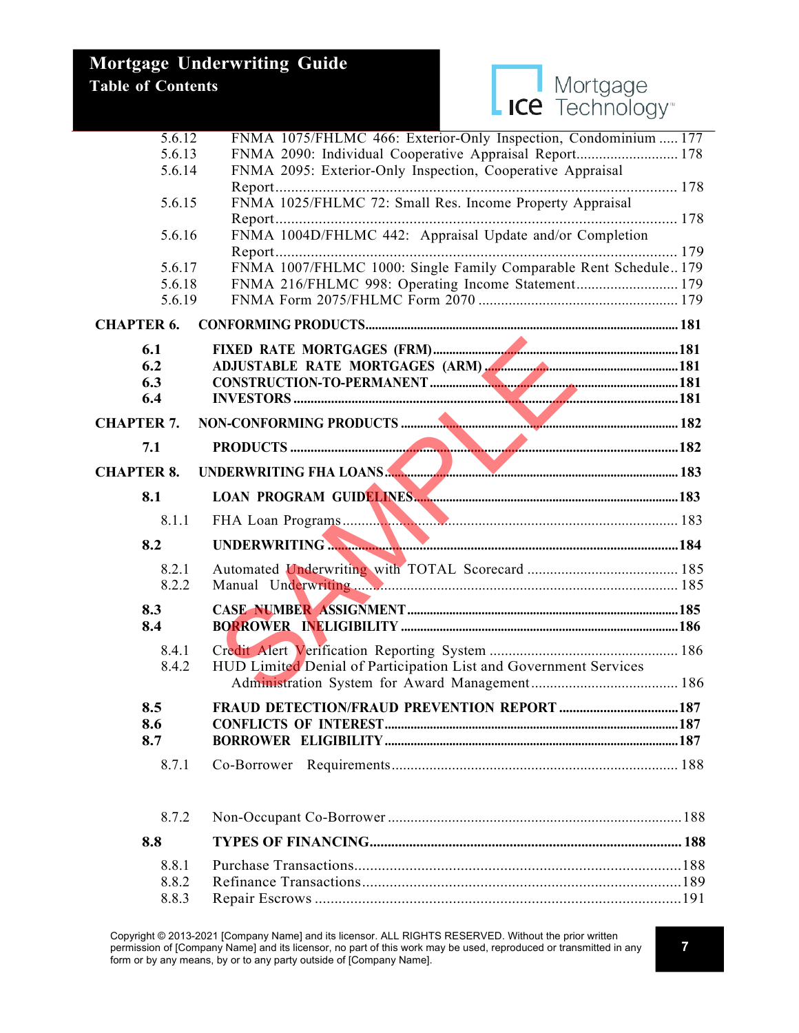

| 5.6.12            | FNMA 1075/FHLMC 466: Exterior-Only Inspection, Condominium  177  |  |
|-------------------|------------------------------------------------------------------|--|
| 5.6.13            | FNMA 2090: Individual Cooperative Appraisal Report 178           |  |
| 5.6.14            | FNMA 2095: Exterior-Only Inspection, Cooperative Appraisal       |  |
|                   |                                                                  |  |
| 5.6.15            | FNMA 1025/FHLMC 72: Small Res. Income Property Appraisal         |  |
|                   |                                                                  |  |
| 5.6.16            | FNMA 1004D/FHLMC 442: Appraisal Update and/or Completion         |  |
|                   |                                                                  |  |
| 5.6.17<br>5.6.18  | FNMA 1007/FHLMC 1000: Single Family Comparable Rent Schedule 179 |  |
| 5.6.19            | FNMA 216/FHLMC 998: Operating Income Statement 179               |  |
|                   |                                                                  |  |
| <b>CHAPTER 6.</b> |                                                                  |  |
| 6.1               |                                                                  |  |
| 6.2               |                                                                  |  |
| 6.3               |                                                                  |  |
| 6.4               |                                                                  |  |
| <b>CHAPTER 7.</b> |                                                                  |  |
| 7.1               |                                                                  |  |
| <b>CHAPTER 8.</b> | UNDERWRITING FHA LOANS                                           |  |
| 8.1               |                                                                  |  |
| 8.1.1             |                                                                  |  |
| 8.2               |                                                                  |  |
| 8.2.1             |                                                                  |  |
| 8.2.2             |                                                                  |  |
| 8.3               |                                                                  |  |
| 8.4               |                                                                  |  |
|                   |                                                                  |  |
| 8.4.1             |                                                                  |  |
| 8.4.2             | HUD Limited Denial of Participation List and Government Services |  |
|                   |                                                                  |  |
| 8.5               |                                                                  |  |
| 8.6               |                                                                  |  |
| 8.7               |                                                                  |  |
| 8.7.1             |                                                                  |  |
|                   |                                                                  |  |
| 8.7.2             |                                                                  |  |
| 8.8               |                                                                  |  |
| 8.8.1             |                                                                  |  |
| 8.8.2             |                                                                  |  |

8.8.3 Repair Escrows .............................................................................................191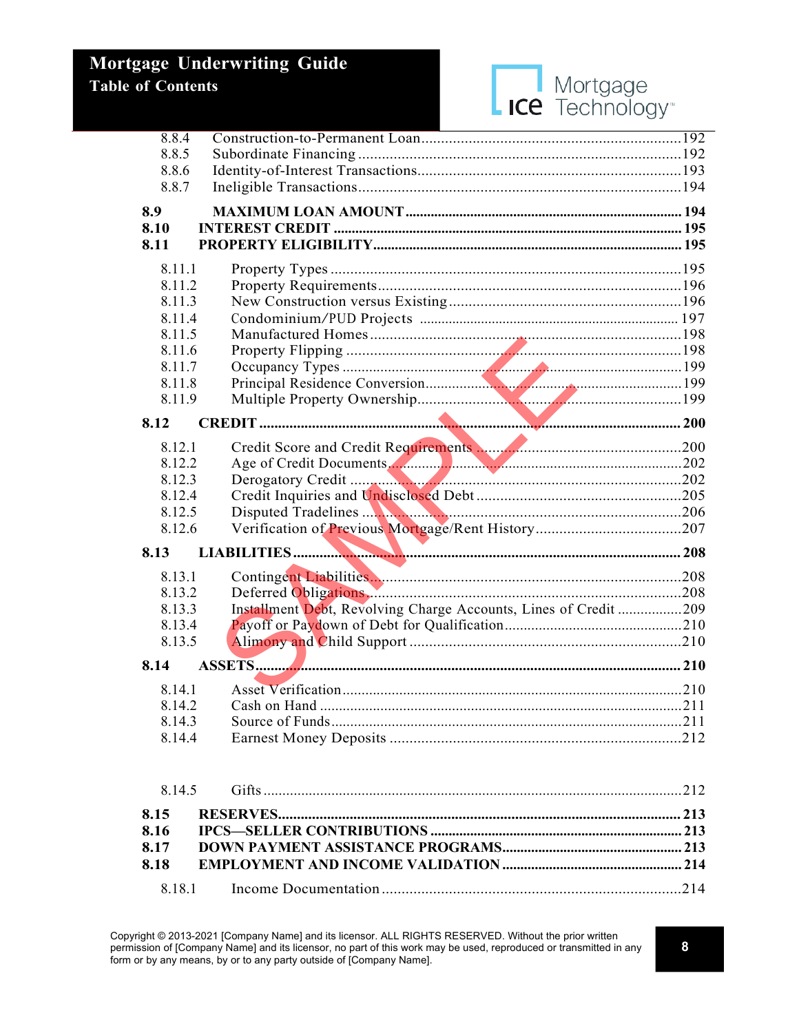

| 8.8.4        |                                                                  |  |
|--------------|------------------------------------------------------------------|--|
| 8.8.5        |                                                                  |  |
| 8.8.6        |                                                                  |  |
| 8.8.7        |                                                                  |  |
| 8.9          |                                                                  |  |
| 8.10         |                                                                  |  |
| 8.11         |                                                                  |  |
| 8.11.1       |                                                                  |  |
| 8.11.2       |                                                                  |  |
| 8.11.3       |                                                                  |  |
| 8.11.4       |                                                                  |  |
| 8.11.5       |                                                                  |  |
| 8.11.6       |                                                                  |  |
| 8.11.7       |                                                                  |  |
| 8.11.8       |                                                                  |  |
| 8.11.9       |                                                                  |  |
| 8.12         |                                                                  |  |
| 8.12.1       |                                                                  |  |
| 8.12.2       |                                                                  |  |
| 8.12.3       |                                                                  |  |
| 8.12.4       |                                                                  |  |
| 8.12.5       |                                                                  |  |
| 8.12.6       |                                                                  |  |
| 8.13         |                                                                  |  |
| 8.13.1       |                                                                  |  |
| 8.13.2       |                                                                  |  |
| 8.13.3       | Installment Debt, Revolving Charge Accounts, Lines of Credit 209 |  |
| 8.13.4       |                                                                  |  |
| 8.13.5       |                                                                  |  |
| 8.14         |                                                                  |  |
|              |                                                                  |  |
| 8.14.1       |                                                                  |  |
| 8.14.2       |                                                                  |  |
| 8.14.3       |                                                                  |  |
| 8.14.4       |                                                                  |  |
| 8.14.5       |                                                                  |  |
|              |                                                                  |  |
| 8.15<br>8.16 |                                                                  |  |
| 8.17         |                                                                  |  |
| 8.18         |                                                                  |  |
|              |                                                                  |  |
| 8.18.1       |                                                                  |  |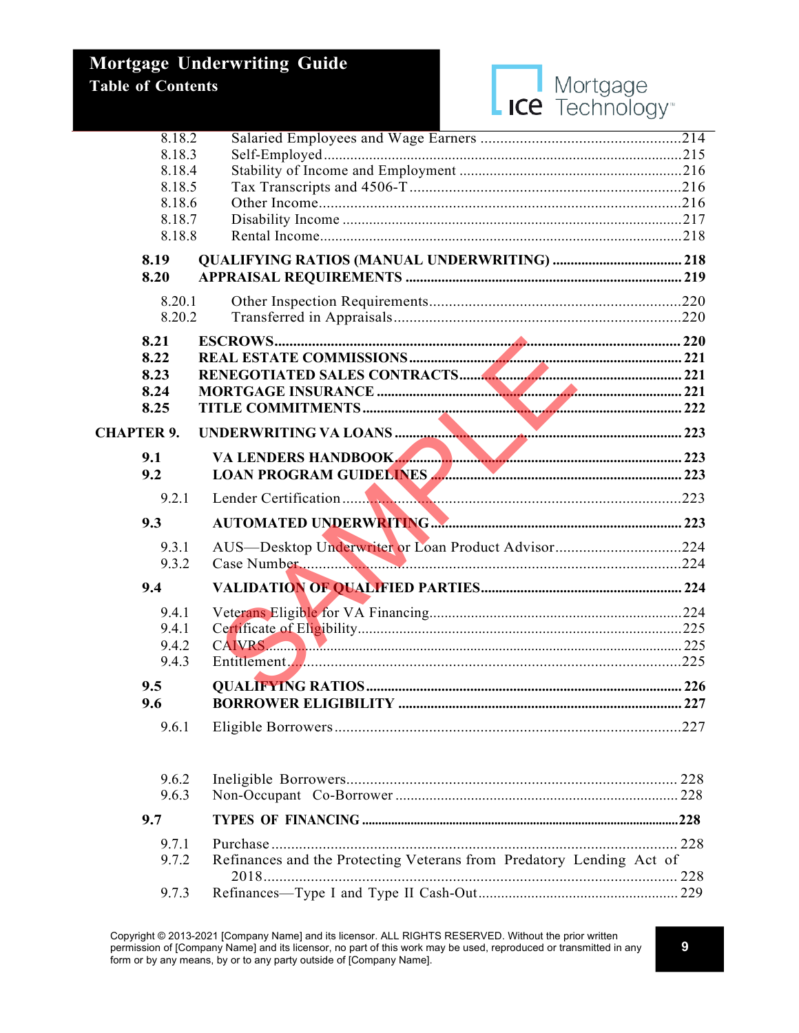| 8.18.2            |                                                                      |      |
|-------------------|----------------------------------------------------------------------|------|
| 8.18.3            |                                                                      |      |
| 8.18.4            |                                                                      |      |
| 8.18.5            |                                                                      |      |
| 8.18.6            |                                                                      |      |
| 8.18.7            |                                                                      |      |
| 8.18.8            |                                                                      |      |
| 8.19              |                                                                      |      |
| 8.20              |                                                                      |      |
| 8.20.1            |                                                                      |      |
| 8.20.2            |                                                                      |      |
| 8.21              |                                                                      |      |
| 8.22              |                                                                      |      |
| 8.23              |                                                                      |      |
| 8.24              |                                                                      |      |
| 8.25              |                                                                      |      |
| <b>CHAPTER 9.</b> |                                                                      |      |
| 9.1               | VA LENDERS HANDBOOK                                                  |      |
| 9.2               | LOAN PROGRAM GUIDELINES                                              |      |
| 9.2.1             |                                                                      |      |
| 9.3               |                                                                      |      |
| 9.3.1             | AUS-Desktop Underwriter or Loan Product Advisor224                   |      |
| 9.3.2             |                                                                      |      |
|                   |                                                                      |      |
| 9.4               |                                                                      |      |
| 9.4.1             |                                                                      |      |
| 9.4.1             |                                                                      |      |
| 9.4.2             | CAIVRS 2000 1225                                                     |      |
| 9.4.3             |                                                                      |      |
| 9.5               |                                                                      |      |
| 9.6               |                                                                      |      |
| 9.6.1             |                                                                      | .227 |
| 9.6.2             |                                                                      |      |
| 9.6.3             |                                                                      |      |
| 9.7               |                                                                      |      |
| 9.7.1             |                                                                      |      |
| 9.7.2             | Refinances and the Protecting Veterans from Predatory Lending Act of |      |
| 9.7.3             |                                                                      |      |
|                   |                                                                      |      |

Mortgage<br>
ICE Technology<sup>®</sup>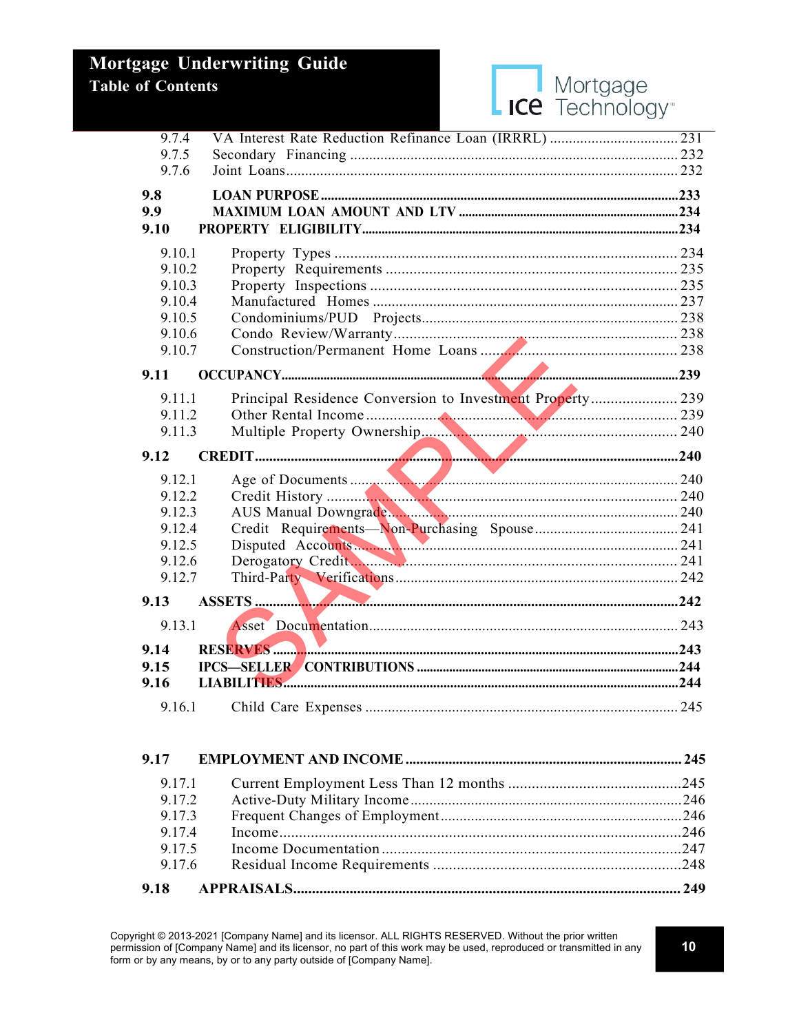|             | age Underwriting Guide                                    |  |
|-------------|-----------------------------------------------------------|--|
| of Contents | Mortgage                                                  |  |
|             | <b>ICE</b> Technology <sup>®</sup>                        |  |
| 9.7.4       |                                                           |  |
| 9.7.5       |                                                           |  |
| 9.7.6       |                                                           |  |
| 9.8         |                                                           |  |
| 9.9         |                                                           |  |
| 9.10        |                                                           |  |
| 9.10.1      |                                                           |  |
| 9.10.2      |                                                           |  |
| 9.10.3      |                                                           |  |
| 9.10.4      |                                                           |  |
| 9.10.5      |                                                           |  |
| 9.10.6      |                                                           |  |
| 9.10.7      |                                                           |  |
| 9.11        |                                                           |  |
| 9.11.1      | Principal Residence Conversion to Investment Property 239 |  |
| 9.11.2      |                                                           |  |
| 9.11.3      |                                                           |  |
| 9.12        |                                                           |  |
| 9.12.1      |                                                           |  |
| 9.12.2      |                                                           |  |
| 9.12.3      |                                                           |  |
| 9.12.4      |                                                           |  |
| 9.12.5      |                                                           |  |
| 9.12.6      | Derogatory Credit.                                        |  |
| 9.12.7      |                                                           |  |
| 9.13        |                                                           |  |
| 9.13.1      |                                                           |  |
| 9.14        |                                                           |  |
| 9.15        |                                                           |  |
| 9.16        |                                                           |  |
| 9.16.1      |                                                           |  |

| 9.17   |  |
|--------|--|
| 9.17.1 |  |
| 9.17.2 |  |
| 9.17.3 |  |
| 9.17.4 |  |
| 9.17.5 |  |
| 9.17.6 |  |
| 9.18   |  |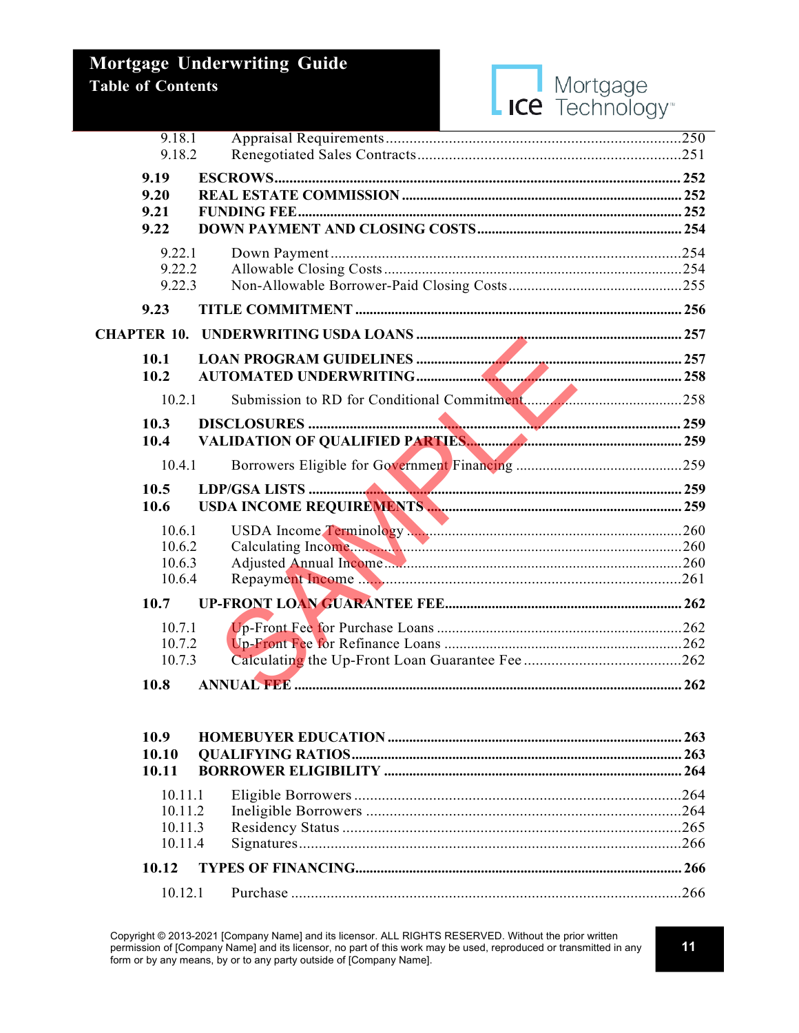

|                    | 9.18.1             |  |
|--------------------|--------------------|--|
|                    | 9.18.2             |  |
|                    | 9.19               |  |
|                    | 9.20               |  |
|                    | 9.21               |  |
|                    | 9.22               |  |
|                    | 9.22.1             |  |
|                    | 9.22.2             |  |
|                    | 9.22.3             |  |
|                    | 9.23               |  |
| <b>CHAPTER 10.</b> |                    |  |
|                    | 10.1               |  |
|                    | 10.2               |  |
|                    | 10.2.1             |  |
|                    | 10.3               |  |
|                    | 10.4               |  |
|                    |                    |  |
|                    | 10.4.1             |  |
|                    | 10.5               |  |
|                    | 10.6               |  |
|                    | 10.6.1             |  |
|                    | 10.6.2             |  |
|                    | 10.6.3             |  |
|                    | 10.6.4             |  |
|                    | 10.7               |  |
|                    | 10.7.1             |  |
|                    | 10.7.2             |  |
|                    | 10.7.3             |  |
|                    | 10.8               |  |
|                    |                    |  |
|                    | 10.9               |  |
|                    | 10.10<br>10.11     |  |
|                    |                    |  |
|                    | 10.11.1            |  |
|                    | 10.11.2            |  |
|                    | 10.11.3<br>10.11.4 |  |
|                    |                    |  |
|                    | 10.12              |  |
|                    | 10.12.1            |  |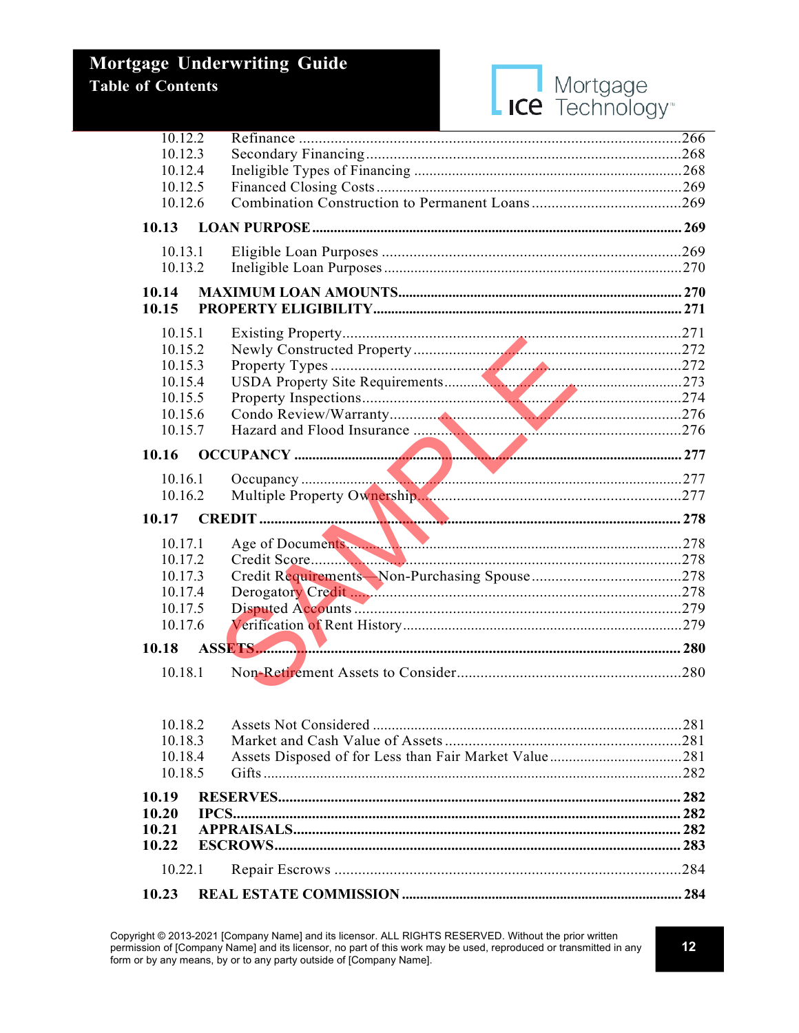

| 10.12.2 |                  |  |
|---------|------------------|--|
| 10.12.3 |                  |  |
| 10.12.4 |                  |  |
|         |                  |  |
| 10.12.5 |                  |  |
| 10.12.6 |                  |  |
| 10.13   |                  |  |
| 10.13.1 |                  |  |
| 10.13.2 |                  |  |
| 10.14   |                  |  |
| 10.15   |                  |  |
| 10.15.1 |                  |  |
| 10.15.2 |                  |  |
| 10.15.3 |                  |  |
| 10.15.4 |                  |  |
|         |                  |  |
| 10.15.5 |                  |  |
| 10.15.6 |                  |  |
| 10.15.7 |                  |  |
| 10.16   |                  |  |
| 10.16.1 |                  |  |
| 10.16.2 |                  |  |
|         |                  |  |
| 10.17   |                  |  |
| 10.17.1 | Age of Documents |  |
| 10.17.2 |                  |  |
| 10.17.3 |                  |  |
| 10.17.4 |                  |  |
| 10.17.5 |                  |  |
|         |                  |  |
| 10.17.6 |                  |  |
| 10.18   |                  |  |
| 10.18.1 |                  |  |
|         |                  |  |
|         |                  |  |
| 10.18.2 |                  |  |
| 10.18.3 |                  |  |
| 10.18.4 |                  |  |
| 10.18.5 |                  |  |
| 10.19   |                  |  |
| 10.20   |                  |  |
| 10.21   |                  |  |
| 10.22   |                  |  |
| 10.22.1 |                  |  |
|         |                  |  |
| 10.23   |                  |  |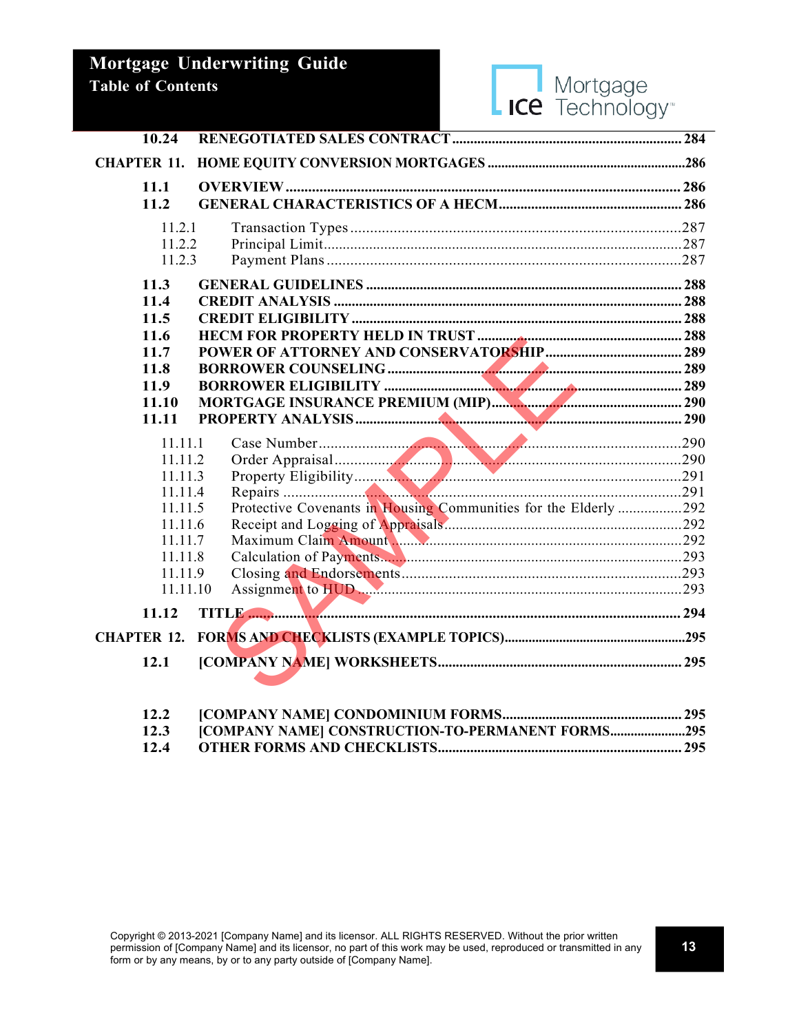

| 10.24              |                                                                 |  |
|--------------------|-----------------------------------------------------------------|--|
| <b>CHAPTER 11.</b> |                                                                 |  |
| 11.1               |                                                                 |  |
| 11.2               |                                                                 |  |
| 11.2.1             |                                                                 |  |
| 11.2.2             |                                                                 |  |
| 11.2.3             |                                                                 |  |
| 11.3               |                                                                 |  |
| 11.4               |                                                                 |  |
| 11.5               |                                                                 |  |
| 11.6               |                                                                 |  |
| 11.7               |                                                                 |  |
| 11.8               |                                                                 |  |
| 11.9               |                                                                 |  |
| 11.10              |                                                                 |  |
| 11.11              |                                                                 |  |
| 11.11.1            |                                                                 |  |
| 11.11.2            | Order Appraisal 290<br>Property Eligibility 291<br>Repairs 291  |  |
| 11.11.3            |                                                                 |  |
| 11.11.4            |                                                                 |  |
| 11.11.5            | Protective Covenants in Housing Communities for the Elderly 292 |  |
| 11.11.6            |                                                                 |  |
| 11.11.7            |                                                                 |  |
| 11.11.8            |                                                                 |  |
| 11.11.9            |                                                                 |  |
| 11.11.10           |                                                                 |  |
| 11.12              |                                                                 |  |
| <b>CHAPTER 12.</b> |                                                                 |  |
| 12.1               |                                                                 |  |
|                    |                                                                 |  |
|                    |                                                                 |  |

| 12.3 [COMPANY NAME] CONSTRUCTION-TO-PERMANENT FORMS295 |  |
|--------------------------------------------------------|--|
|                                                        |  |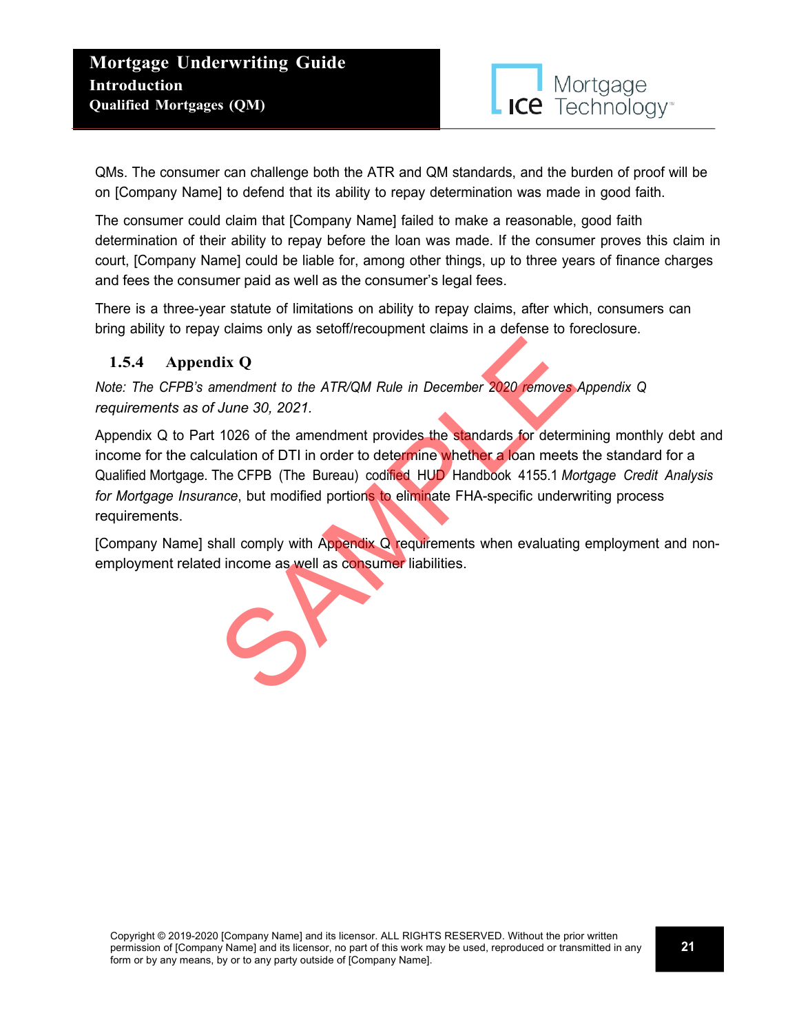

QMs. The consumer can challenge both the ATR and QM standards, and the burden of proof will be on [Company Name] to defend that its ability to repay determination was made in good faith.

The consumer could claim that [Company Name] failed to make a reasonable, good faith determination of their ability to repay before the loan was made. If the consumer proves this claim in court, [Company Name] could be liable for, among other things, up to three years of finance charges and fees the consumer paid as well as the consumer's legal fees.

There is a three-year statute of limitations on ability to repay claims, after which, consumers can bring ability to repay claims only as setoff/recoupment claims in a defense to foreclosure.

## **1.5.4 Appendix Q**

*Note: The CFPB's amendment to the ATR/QM Rule in December 2020 removes Appendix Q requirements as of June 30, 2021.*

Appendix Q to Part 1026 of the amendment provides the standards for determining monthly debt and income for the calculation of DTI in order to determine whether a loan meets the standard for a Qualified Mortgage. The CFPB (The Bureau) codified HUD Handbook 4155.1 *Mortgage Credit Analysis for Mortgage Insurance*, but modified portions to eliminate FHA-specific underwriting process requirements. dix Q<br>
mendment to the ATR/QM Rule in December 2020 removes<br>
June 30, 2021.<br>
1026 of the amendment provides the standards for determ<br>
ulation of DTI in order to determine whether a loan meets<br>
The CFPB (The Bureau) codifie

[Company Name] shall comply with Appendix Q requirements when evaluating employment and nonemployment related income as well as consumer liabilities.

Copyright © 2019-2020 [Company Name] and its licensor. ALL RIGHTS RESERVED. Without the prior written permission of [Company Name] and its licensor, no part of this work may be used, reproduced or transmitted in any form or by any means, by or to any party outside of [Company Name].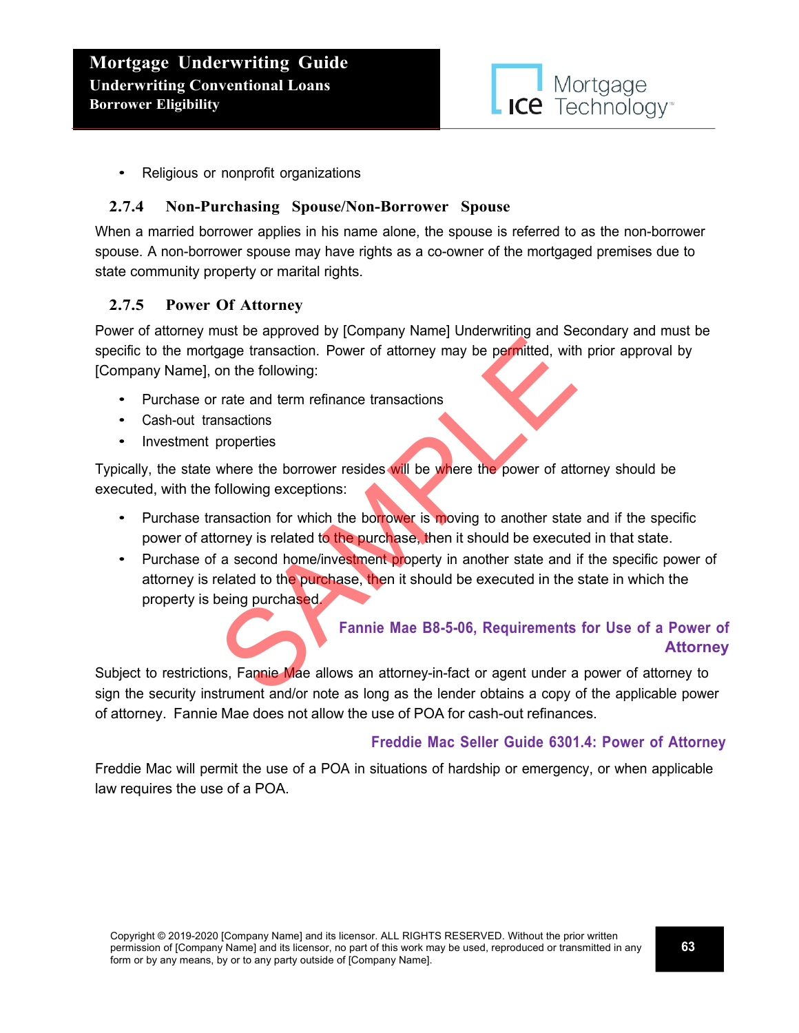

• Religious or nonprofit organizations

#### **2.7.4 Non-Purchasing Spouse/Non-Borrower Spouse**

When a married borrower applies in his name alone, the spouse is referred to as the non-borrower spouse. A non-borrower spouse may have rights as a co-owner of the mortgaged premises due to state community property or marital rights.

#### **2.7.5 Power Of Attorney**

Power of attorney must be approved by [Company Name] Underwriting and Secondary and must be specific to the mortgage transaction. Power of attorney may be permitted, with prior approval by [Company Name], on the following:

- Purchase or rate and term refinance transactions
- Cash-out transactions
- Investment properties

Typically, the state where the borrower resides will be where the power of attorney should be executed, with the following exceptions:

- Purchase transaction for which the borrower is moving to another state and if the specific power of attorney is related to the purchase, then it should be executed in that state.
- Purchase of a second home/investment property in another state and if the specific power of attorney is related to the purchase, then it should be executed in the state in which the property is being purchased. and term is the purchased.<br>
The pair of altomation and term refinance transactions<br>
in the following:<br>
Trate and term refinance transactions<br>
Insactions<br>
Inverted to the purchase, then it should be executed in the<br>
Transac

## **Fannie Mae B8-5-06, Requirements for Use of a Power of Attorney**

Subject to restrictions, Fannie Mae allows an attorney-in-fact or agent under a power of attorney to sign the security instrument and/or note as long as the lender obtains a copy of the applicable power of attorney. Fannie Mae does not allow the use of POA for cash-out refinances.

### **Freddie Mac Seller Guide 6301.4: Power of Attorney**

Freddie Mac will permit the use of a POA in situations of hardship or emergency, or when applicable law requires the use of a POA.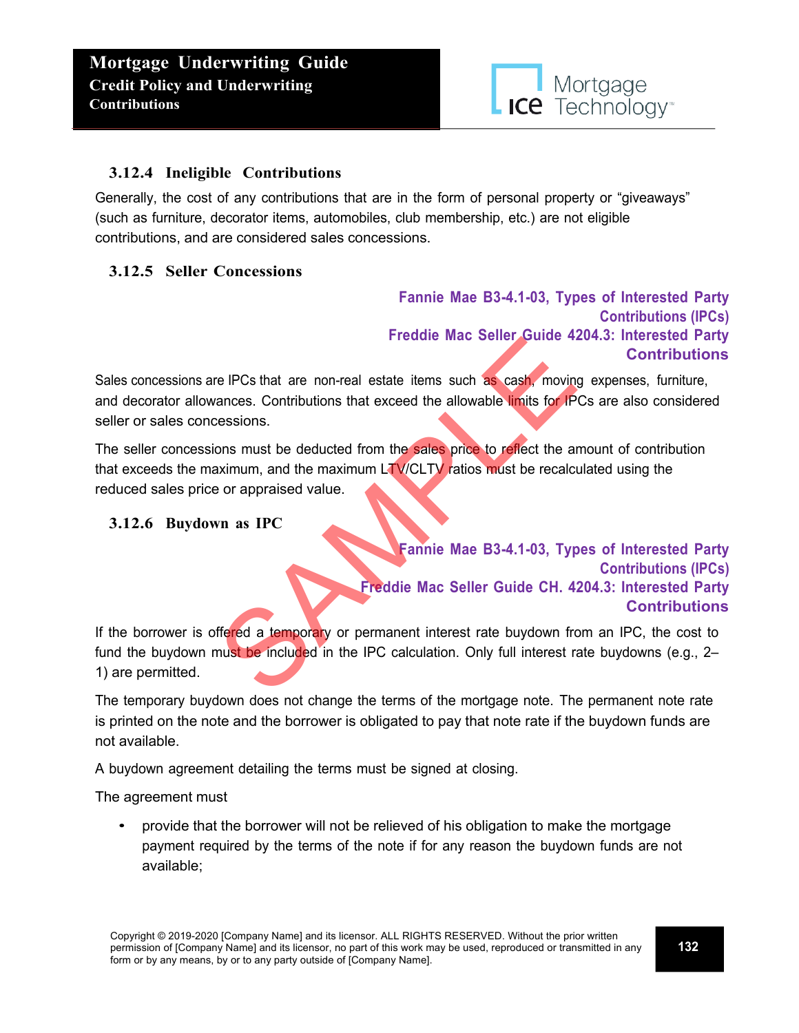

#### **3.12.4 Ineligible Contributions**

Generally, the cost of any contributions that are in the form of personal property or "giveaways" (such as furniture, decorator items, automobiles, club membership, etc.) are not eligible contributions, and are considered sales concessions.

### **3.12.5 Seller Concessions**

**Fannie Mae B3-4.1-03, Types of Interested Party Contributions (IPCs) Freddie Mac Seller Guide 4204.3: Interested Party Contributions**

Sales concessions are IPCs that are non-real estate items such as cash, moving expenses, furniture, and decorator allowances. Contributions that exceed the allowable limits for IPCs are also considered seller or sales concessions. Freddie Mac Seller Suide 4.<br>
The IPCs that are non-real estate items such as cash, moving<br>
ressions.<br>
ons must be deducted from the sales price to reflect the an<br>
sammum, and the maximum LTV/CLTV ratios must be recalculati

The seller concessions must be deducted from the sales price to reflect the amount of contribution that exceeds the maximum, and the maximum LTV/CLTV ratios must be recalculated using the reduced sales price or appraised value.

#### **3.12.6 Buydown as IPC**

**Fannie Mae B3-4.1-03, Types of Interested Party Contributions (IPCs) Freddie Mac Seller Guide CH. 4204.3: Interested Party Contributions**

If the borrower is offered a temporary or permanent interest rate buydown from an IPC, the cost to fund the buydown must be included in the IPC calculation. Only full interest rate buydowns (e.g., 2– 1) are permitted.

The temporary buydown does not change the terms of the mortgage note. The permanent note rate is printed on the note and the borrower is obligated to pay that note rate if the buydown funds are not available.

A buydown agreement detailing the terms must be signed at closing.

The agreement must

• provide that the borrower will not be relieved of his obligation to make the mortgage payment required by the terms of the note if for any reason the buydown funds are not available;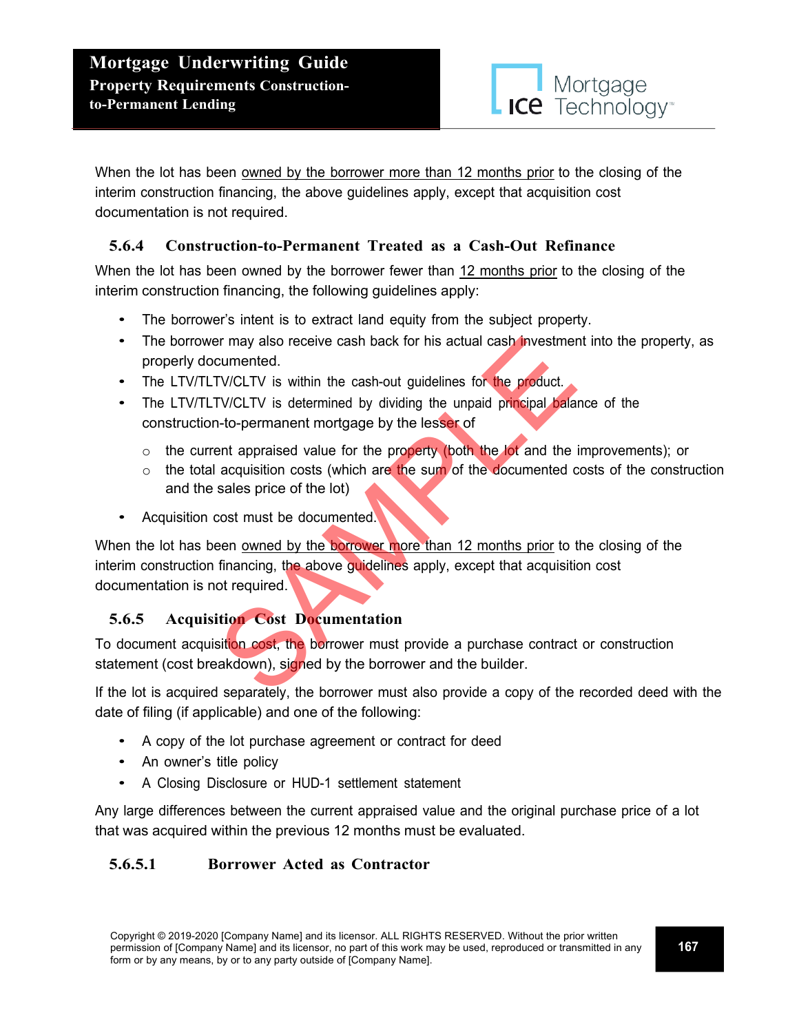When the lot has been owned by the borrower more than 12 months prior to the closing of the interim construction financing, the above guidelines apply, except that acquisition cost documentation is not required.

## **5.6.4 Construction-to-Permanent Treated as a Cash-Out Refinance**

When the lot has been owned by the borrower fewer than 12 months prior to the closing of the interim construction financing, the following guidelines apply:

- The borrower's intent is to extract land equity from the subject property.
- The borrower may also receive cash back for his actual cash investment into the property, as properly documented.
- The LTV/TLTV/CLTV is within the cash-out guidelines for the product.
- The LTV/TLTV/CLTV is determined by dividing the unpaid principal balance of the construction-to-permanent mortgage by the lesser of
	- $\circ$  the current appraised value for the property (both the lot and the improvements); or
	- $\circ$  the total acquisition costs (which are the sum of the documented costs of the construction and the sales price of the lot)
- Acquisition cost must be documented.

When the lot has been owned by the borrower more than 12 months prior to the closing of the interim construction financing, the above guidelines apply, except that acquisition cost documentation is not required. For may also receive cash back for his actual cash investment cumented.<br>
TV/CLTV is within the cash-out guidelines for the product.<br>
TV/CLTV is determined by dividing the unpaid principal balant-to-permanent mortgage by th

## **5.6.5 Acquisition Cost Documentation**

To document acquisition cost, the borrower must provide a purchase contract or construction statement (cost breakdown), signed by the borrower and the builder.

If the lot is acquired separately, the borrower must also provide a copy of the recorded deed with the date of filing (if applicable) and one of the following:

- A copy of the lot purchase agreement or contract for deed
- An owner's title policy
- <sup>A</sup> Closing Disclosure or HUD-1 settlement statement

Any large differences between the current appraised value and the original purchase price of a lot that was acquired within the previous 12 months must be evaluated.

## **5.6.5.1 Borrower Acted as Contractor**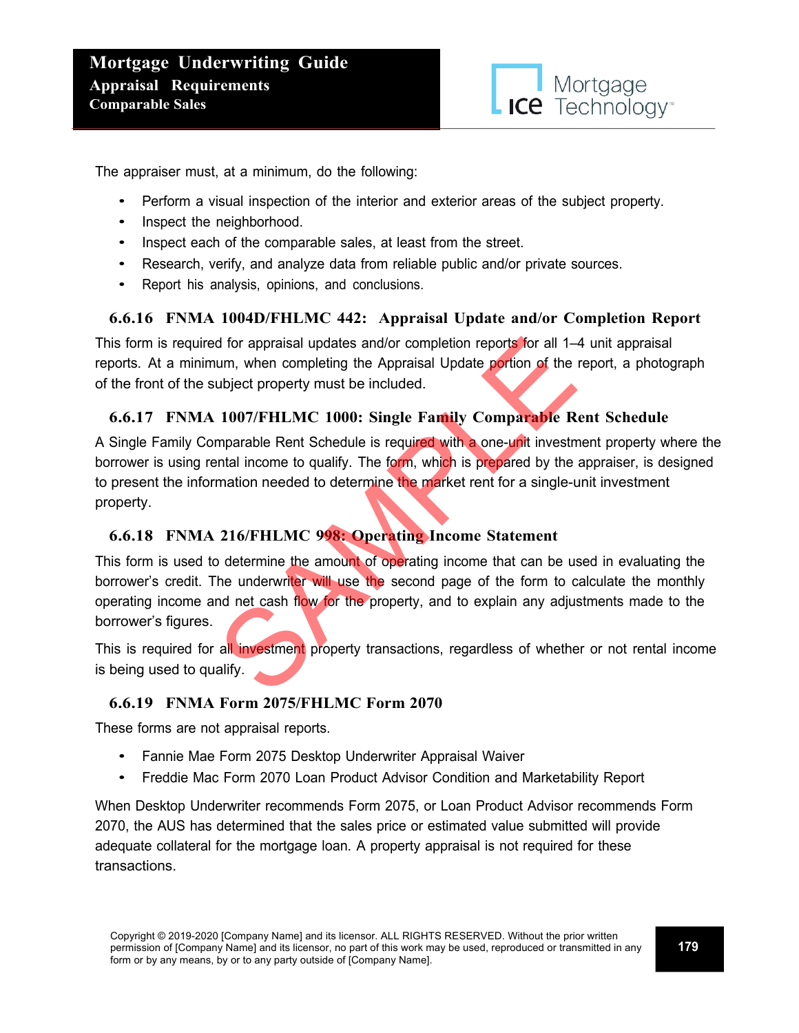

The appraiser must, at a minimum, do the following:

- Perform a visual inspection of the interior and exterior areas of the subject property.
- Inspect the neighborhood.
- Inspect each of the comparable sales, at least from the street.
- Research, verify, and analyze data from reliable public and/or private sources.
- Report his analysis, opinions, and conclusions.

### **6.6.16 FNMA 1004D/FHLMC 442: Appraisal Update and/or Completion Report**

This form is required for appraisal updates and/or completion reports for all 1–4 unit appraisal reports. At a minimum, when completing the Appraisal Update portion of the report, a photograph of the front of the subject property must be included.

#### **6.6.17 FNMA 1007/FHLMC 1000: Single Family Comparable Rent Schedule**

A Single Family Comparable Rent Schedule is required with a one-unit investment property where the borrower is using rental income to qualify. The form, which is prepared by the appraiser, is designed to present the information needed to determine the market rent for a single-unit investment property.

### **6.6.18 FNMA 216/FHLMC 998: Operating Income Statement**

This form is used to determine the amount of operating income that can be used in evaluating the borrower's credit. The underwriter will use the second page of the form to calculate the monthly operating income and net cash flow for the property, and to explain any adjustments made to the borrower's figures. d for appraisal updates and/or completion reports for all 1–<br>um, when completing the Appraisal Update portion of the<br>ubject property must be included.<br>1007/FHLMC 1000: Single Family Comparable R<br>mparable Rent Schedule is r

This is required for all investment property transactions, regardless of whether or not rental income is being used to qualify.

### **6.6.19 FNMA Form 2075/FHLMC Form 2070**

These forms are not appraisal reports.

- Fannie Mae Form 2075 Desktop Underwriter Appraisal Waiver
- Freddie Mac Form 2070 Loan Product Advisor Condition and Marketability Report

When Desktop Underwriter recommends Form 2075, or Loan Product Advisor recommends Form 2070, the AUS has determined that the sales price or estimated value submitted will provide adequate collateral for the mortgage loan. A property appraisal is not required for these transactions.